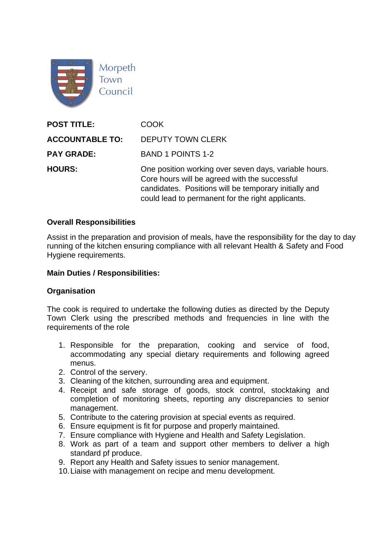

| <b>POST TITLE:</b>     | COOK.                                                                                                                                                                                                                |
|------------------------|----------------------------------------------------------------------------------------------------------------------------------------------------------------------------------------------------------------------|
| <b>ACCOUNTABLE TO:</b> | <b>DEPUTY TOWN CLERK</b>                                                                                                                                                                                             |
| <b>PAY GRADE:</b>      | <b>BAND 1 POINTS 1-2</b>                                                                                                                                                                                             |
| <b>HOURS:</b>          | One position working over seven days, variable hours.<br>Core hours will be agreed with the successful<br>candidates. Positions will be temporary initially and<br>could lead to permanent for the right applicants. |

#### **Overall Responsibilities**

Assist in the preparation and provision of meals, have the responsibility for the day to day running of the kitchen ensuring compliance with all relevant Health & Safety and Food Hygiene requirements.

#### **Main Duties / Responsibilities:**

#### **Organisation**

The cook is required to undertake the following duties as directed by the Deputy Town Clerk using the prescribed methods and frequencies in line with the requirements of the role

- 1. Responsible for the preparation, cooking and service of food, accommodating any special dietary requirements and following agreed menus.
- 2. Control of the servery.
- 3. Cleaning of the kitchen, surrounding area and equipment.
- 4. Receipt and safe storage of goods, stock control, stocktaking and completion of monitoring sheets, reporting any discrepancies to senior management.
- 5. Contribute to the catering provision at special events as required.
- 6. Ensure equipment is fit for purpose and properly maintained.
- 7. Ensure compliance with Hygiene and Health and Safety Legislation.
- 8. Work as part of a team and support other members to deliver a high standard pf produce.
- 9. Report any Health and Safety issues to senior management.
- 10.Liaise with management on recipe and menu development.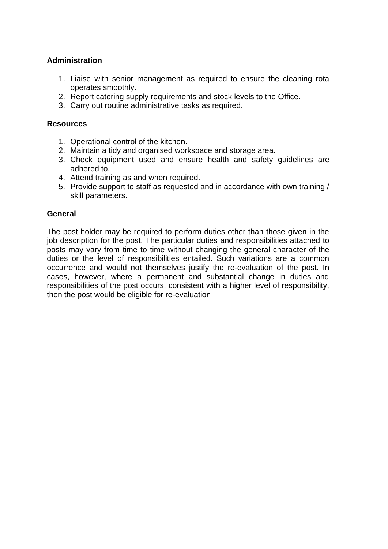## **Administration**

- 1. Liaise with senior management as required to ensure the cleaning rota operates smoothly.
- 2. Report catering supply requirements and stock levels to the Office.
- 3. Carry out routine administrative tasks as required.

#### **Resources**

- 1. Operational control of the kitchen.
- 2. Maintain a tidy and organised workspace and storage area.
- 3. Check equipment used and ensure health and safety guidelines are adhered to.
- 4. Attend training as and when required.
- 5. Provide support to staff as requested and in accordance with own training / skill parameters.

### **General**

The post holder may be required to perform duties other than those given in the job description for the post. The particular duties and responsibilities attached to posts may vary from time to time without changing the general character of the duties or the level of responsibilities entailed. Such variations are a common occurrence and would not themselves justify the re-evaluation of the post. In cases, however, where a permanent and substantial change in duties and responsibilities of the post occurs, consistent with a higher level of responsibility, then the post would be eligible for re-evaluation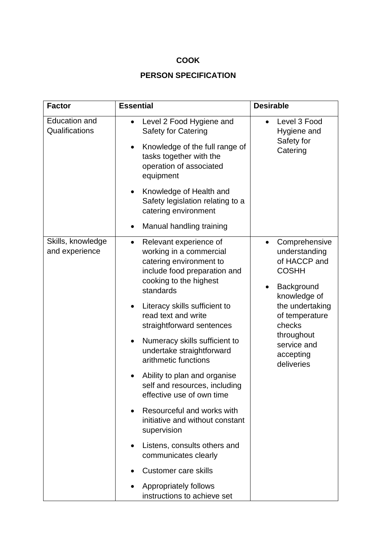# **COOK**

# **PERSON SPECIFICATION**

| <b>Factor</b>                          | <b>Essential</b>                                                                                                                                                                                                                                                                                                                                                                                                                                                                                                                                                                                                                                                                                          | <b>Desirable</b>                                                                                                                                                                                                 |
|----------------------------------------|-----------------------------------------------------------------------------------------------------------------------------------------------------------------------------------------------------------------------------------------------------------------------------------------------------------------------------------------------------------------------------------------------------------------------------------------------------------------------------------------------------------------------------------------------------------------------------------------------------------------------------------------------------------------------------------------------------------|------------------------------------------------------------------------------------------------------------------------------------------------------------------------------------------------------------------|
| <b>Education and</b><br>Qualifications | Level 2 Food Hygiene and<br><b>Safety for Catering</b><br>Knowledge of the full range of<br>$\bullet$<br>tasks together with the<br>operation of associated<br>equipment<br>Knowledge of Health and<br>Safety legislation relating to a<br>catering environment<br>Manual handling training                                                                                                                                                                                                                                                                                                                                                                                                               | Level 3 Food<br>Hygiene and<br>Safety for<br>Catering                                                                                                                                                            |
| Skills, knowledge<br>and experience    | Relevant experience of<br>working in a commercial<br>catering environment to<br>include food preparation and<br>cooking to the highest<br>standards<br>Literacy skills sufficient to<br>$\bullet$<br>read text and write<br>straightforward sentences<br>Numeracy skills sufficient to<br>undertake straightforward<br>arithmetic functions<br>Ability to plan and organise<br>self and resources, including<br>effective use of own time<br>Resourceful and works with<br>$\bullet$<br>initiative and without constant<br>supervision<br>Listens, consults others and<br>$\bullet$<br>communicates clearly<br><b>Customer care skills</b><br><b>Appropriately follows</b><br>instructions to achieve set | Comprehensive<br>understanding<br>of HACCP and<br><b>COSHH</b><br>Background<br>$\bullet$<br>knowledge of<br>the undertaking<br>of temperature<br>checks<br>throughout<br>service and<br>accepting<br>deliveries |